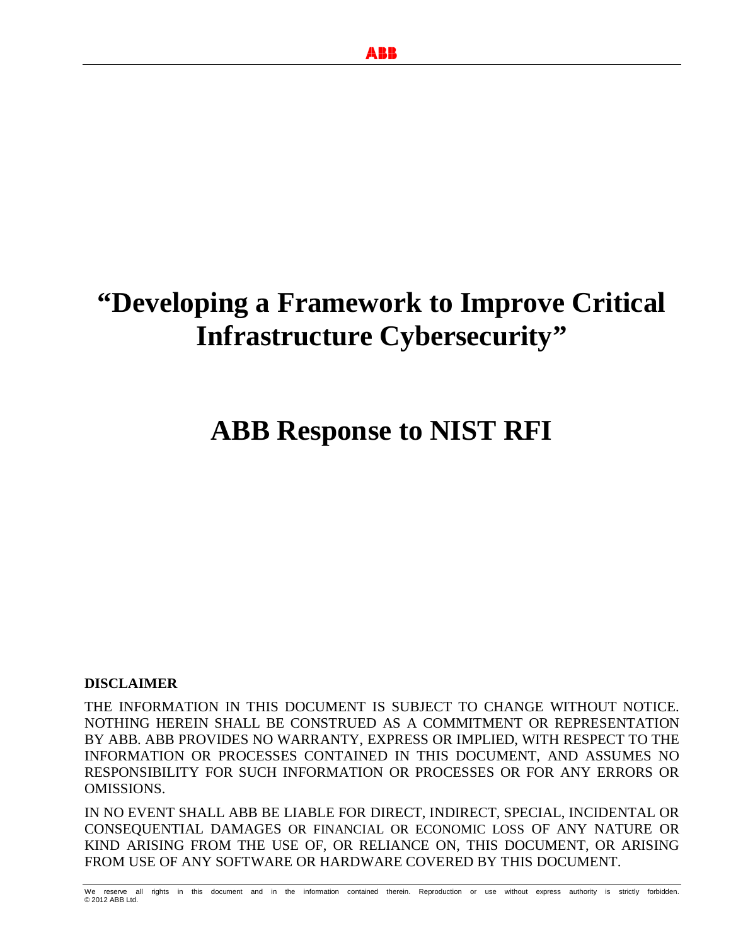# **"Developing a Framework to Improve Critical Infrastructure Cybersecurity"**

# **ABB Response to NIST RFI**

#### **DISCLAIMER**

THE INFORMATION IN THIS DOCUMENT IS SUBJECT TO CHANGE WITHOUT NOTICE. NOTHING HEREIN SHALL BE CONSTRUED AS A COMMITMENT OR REPRESENTATION BY ABB. ABB PROVIDES NO WARRANTY, EXPRESS OR IMPLIED, WITH RESPECT TO THE INFORMATION OR PROCESSES CONTAINED IN THIS DOCUMENT, AND ASSUMES NO RESPONSIBILITY FOR SUCH INFORMATION OR PROCESSES OR FOR ANY ERRORS OR OMISSIONS.

IN NO EVENT SHALL ABB BE LIABLE FOR DIRECT, INDIRECT, SPECIAL, INCIDENTAL OR CONSEQUENTIAL DAMAGES OR FINANCIAL OR ECONOMIC LOSS OF ANY NATURE OR KIND ARISING FROM THE USE OF, OR RELIANCE ON, THIS DOCUMENT, OR ARISING FROM USE OF ANY SOFTWARE OR HARDWARE COVERED BY THIS DOCUMENT.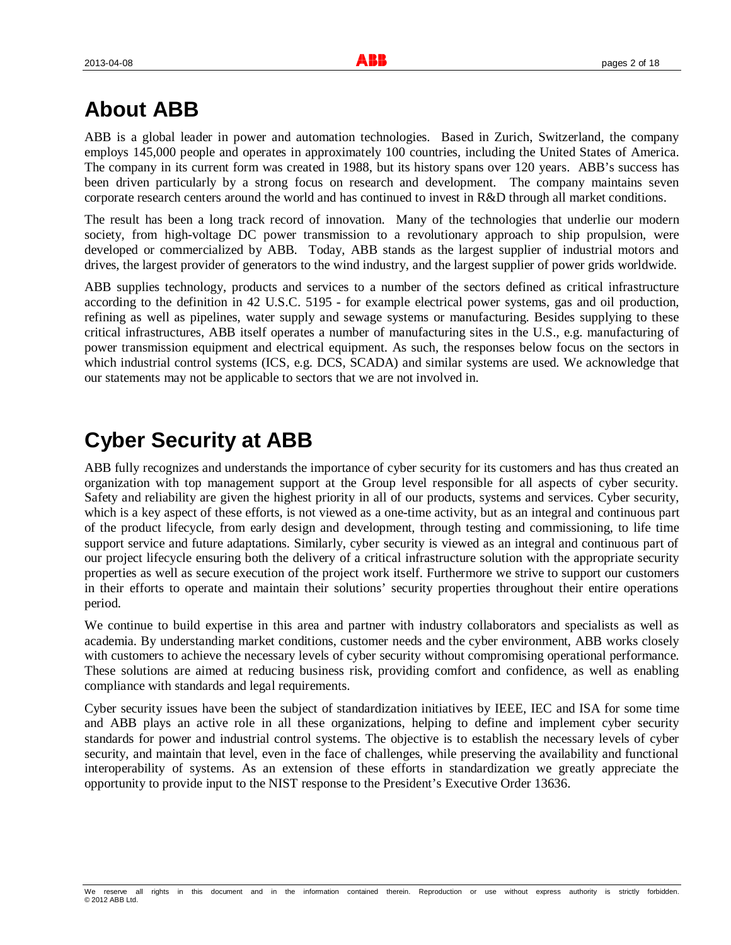# **About ABB**

ABB is a global leader in power and automation technologies. Based in Zurich, Switzerland, the company employs 145,000 people and operates in approximately 100 countries, including the United States of America. The company in its current form was created in 1988, but its history spans over 120 years. ABB's success has been driven particularly by a strong focus on research and development. The company maintains seven corporate research centers around the world and has continued to invest in R&D through all market conditions.

The result has been a long track record of innovation. Many of the technologies that underlie our modern society, from high-voltage DC power transmission to a revolutionary approach to ship propulsion, were developed or commercialized by ABB. Today, ABB stands as the largest supplier of industrial motors and drives, the largest provider of generators to the wind industry, and the largest supplier of power grids worldwide.

ABB supplies technology, products and services to a number of the sectors defined as critical infrastructure according to the definition in 42 U.S.C. 5195 - for example electrical power systems, gas and oil production, refining as well as pipelines, water supply and sewage systems or manufacturing. Besides supplying to these critical infrastructures, ABB itself operates a number of manufacturing sites in the U.S., e.g. manufacturing of power transmission equipment and electrical equipment. As such, the responses below focus on the sectors in which industrial control systems (ICS, e.g. DCS, SCADA) and similar systems are used. We acknowledge that our statements may not be applicable to sectors that we are not involved in.

# **Cyber Security at ABB**

ABB fully recognizes and understands the importance of cyber security for its customers and has thus created an organization with top management support at the Group level responsible for all aspects of cyber security. Safety and reliability are given the highest priority in all of our products, systems and services. Cyber security, which is a key aspect of these efforts, is not viewed as a one-time activity, but as an integral and continuous part of the product lifecycle, from early design and development, through testing and commissioning, to life time support service and future adaptations. Similarly, cyber security is viewed as an integral and continuous part of our project lifecycle ensuring both the delivery of a critical infrastructure solution with the appropriate security properties as well as secure execution of the project work itself. Furthermore we strive to support our customers in their efforts to operate and maintain their solutions' security properties throughout their entire operations period.

We continue to build expertise in this area and partner with industry collaborators and specialists as well as academia. By understanding market conditions, customer needs and the cyber environment, ABB works closely with customers to achieve the necessary levels of cyber security without compromising operational performance. These solutions are aimed at reducing business risk, providing comfort and confidence, as well as enabling compliance with standards and legal requirements.

Cyber security issues have been the subject of standardization initiatives by IEEE, IEC and ISA for some time and ABB plays an active role in all these organizations, helping to define and implement cyber security standards for power and industrial control systems. The objective is to establish the necessary levels of cyber security, and maintain that level, even in the face of challenges, while preserving the availability and functional interoperability of systems. As an extension of these efforts in standardization we greatly appreciate the opportunity to provide input to the NIST response to the President's Executive Order 13636.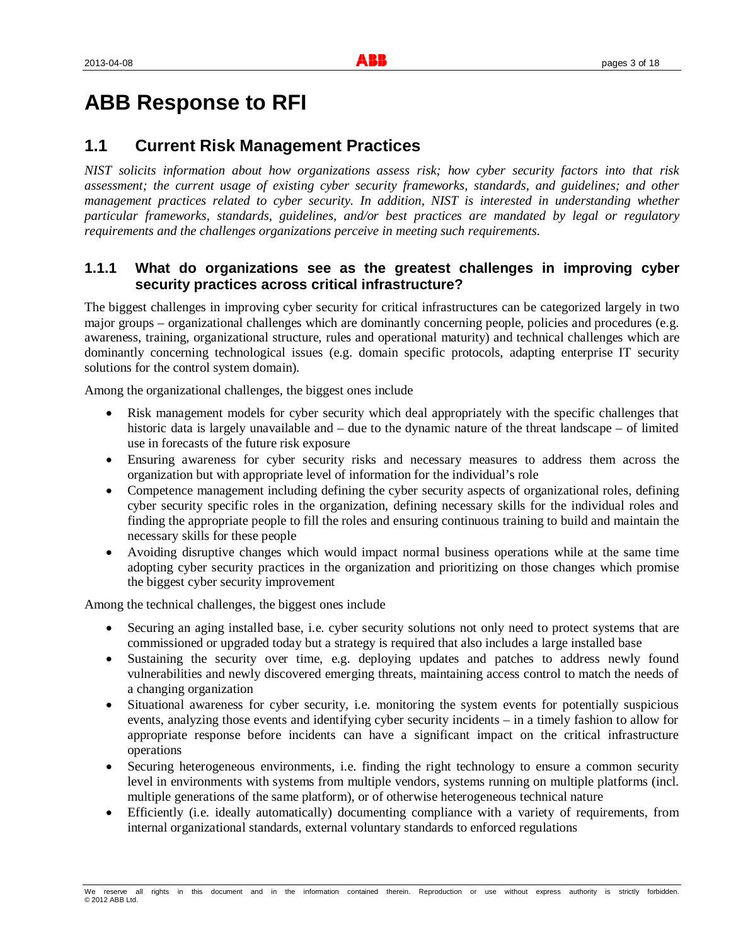# **ABB Response to RFI**

# **1.1 Current Risk Management Practices**

*NIST solicits information about how organizations assess risk; how cyber security factors into that risk assessment; the current usage of existing cyber security frameworks, standards, and guidelines; and other management practices related to cyber security. In addition, NIST is interested in understanding whether particular frameworks, standards, guidelines, and/or best practices are mandated by legal or regulatory requirements and the challenges organizations perceive in meeting such requirements.*

# **1.1.1 What do organizations see as the greatest challenges in improving cyber security practices across critical infrastructure?**

The biggest challenges in improving cyber security for critical infrastructures can be categorized largely in two major groups – organizational challenges which are dominantly concerning people, policies and procedures (e.g. awareness, training, organizational structure, rules and operational maturity) and technical challenges which are dominantly concerning technological issues (e.g. domain specific protocols, adapting enterprise IT security solutions for the control system domain).

Among the organizational challenges, the biggest ones include

- Risk management models for cyber security which deal appropriately with the specific challenges that historic data is largely unavailable and – due to the dynamic nature of the threat landscape – of limited use in forecasts of the future risk exposure
- x Ensuring awareness for cyber security risks and necessary measures to address them across the organization but with appropriate level of information for the individual's role
- Competence management including defining the cyber security aspects of organizational roles, defining cyber security specific roles in the organization, defining necessary skills for the individual roles and finding the appropriate people to fill the roles and ensuring continuous training to build and maintain the necessary skills for these people
- Avoiding disruptive changes which would impact normal business operations while at the same time adopting cyber security practices in the organization and prioritizing on those changes which promise the biggest cyber security improvement

Among the technical challenges, the biggest ones include

- Securing an aging installed base, i.e. cyber security solutions not only need to protect systems that are commissioned or upgraded today but a strategy is required that also includes a large installed base
- Sustaining the security over time, e.g. deploying updates and patches to address newly found vulnerabilities and newly discovered emerging threats, maintaining access control to match the needs of a changing organization
- x Situational awareness for cyber security, i.e. monitoring the system events for potentially suspicious events, analyzing those events and identifying cyber security incidents – in a timely fashion to allow for appropriate response before incidents can have a significant impact on the critical infrastructure operations
- Securing heterogeneous environments, i.e. finding the right technology to ensure a common security level in environments with systems from multiple vendors, systems running on multiple platforms (incl. multiple generations of the same platform), or of otherwise heterogeneous technical nature
- Efficiently (i.e. ideally automatically) documenting compliance with a variety of requirements, from internal organizational standards, external voluntary standards to enforced regulations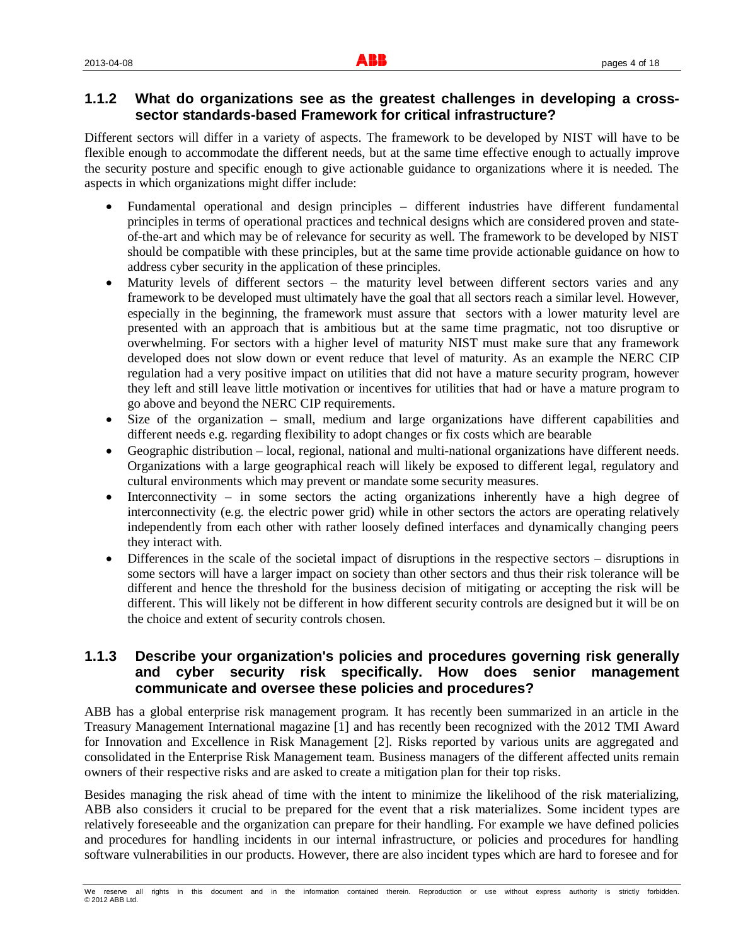# **1.1.2 What do organizations see as the greatest challenges in developing a crosssector standards-based Framework for critical infrastructure?**

Different sectors will differ in a variety of aspects. The framework to be developed by NIST will have to be flexible enough to accommodate the different needs, but at the same time effective enough to actually improve the security posture and specific enough to give actionable guidance to organizations where it is needed. The aspects in which organizations might differ include:

- x Fundamental operational and design principles different industries have different fundamental principles in terms of operational practices and technical designs which are considered proven and stateof-the-art and which may be of relevance for security as well. The framework to be developed by NIST should be compatible with these principles, but at the same time provide actionable guidance on how to address cyber security in the application of these principles.
- Maturity levels of different sectors the maturity level between different sectors varies and any framework to be developed must ultimately have the goal that all sectors reach a similar level. However, especially in the beginning, the framework must assure that sectors with a lower maturity level are presented with an approach that is ambitious but at the same time pragmatic, not too disruptive or overwhelming. For sectors with a higher level of maturity NIST must make sure that any framework developed does not slow down or event reduce that level of maturity. As an example the NERC CIP regulation had a very positive impact on utilities that did not have a mature security program, however they left and still leave little motivation or incentives for utilities that had or have a mature program to go above and beyond the NERC CIP requirements.
- Size of the organization small, medium and large organizations have different capabilities and different needs e.g. regarding flexibility to adopt changes or fix costs which are bearable
- Geographic distribution local, regional, national and multi-national organizations have different needs. Organizations with a large geographical reach will likely be exposed to different legal, regulatory and cultural environments which may prevent or mandate some security measures.
- $\bullet$  Interconnectivity in some sectors the acting organizations inherently have a high degree of interconnectivity (e.g. the electric power grid) while in other sectors the actors are operating relatively independently from each other with rather loosely defined interfaces and dynamically changing peers they interact with.
- Differences in the scale of the societal impact of disruptions in the respective sectors disruptions in some sectors will have a larger impact on society than other sectors and thus their risk tolerance will be different and hence the threshold for the business decision of mitigating or accepting the risk will be different. This will likely not be different in how different security controls are designed but it will be on the choice and extent of security controls chosen.

# **1.1.3 Describe your organization's policies and procedures governing risk generally and cyber security risk specifically. How does senior management communicate and oversee these policies and procedures?**

ABB has a global enterprise risk management program. It has recently been summarized in an article in the Treasury Management International magazine [1] and has recently been recognized with the 2012 TMI Award for Innovation and Excellence in Risk Management [2]. Risks reported by various units are aggregated and consolidated in the Enterprise Risk Management team. Business managers of the different affected units remain owners of their respective risks and are asked to create a mitigation plan for their top risks.

Besides managing the risk ahead of time with the intent to minimize the likelihood of the risk materializing, ABB also considers it crucial to be prepared for the event that a risk materializes. Some incident types are relatively foreseeable and the organization can prepare for their handling. For example we have defined policies and procedures for handling incidents in our internal infrastructure, or policies and procedures for handling software vulnerabilities in our products. However, there are also incident types which are hard to foresee and for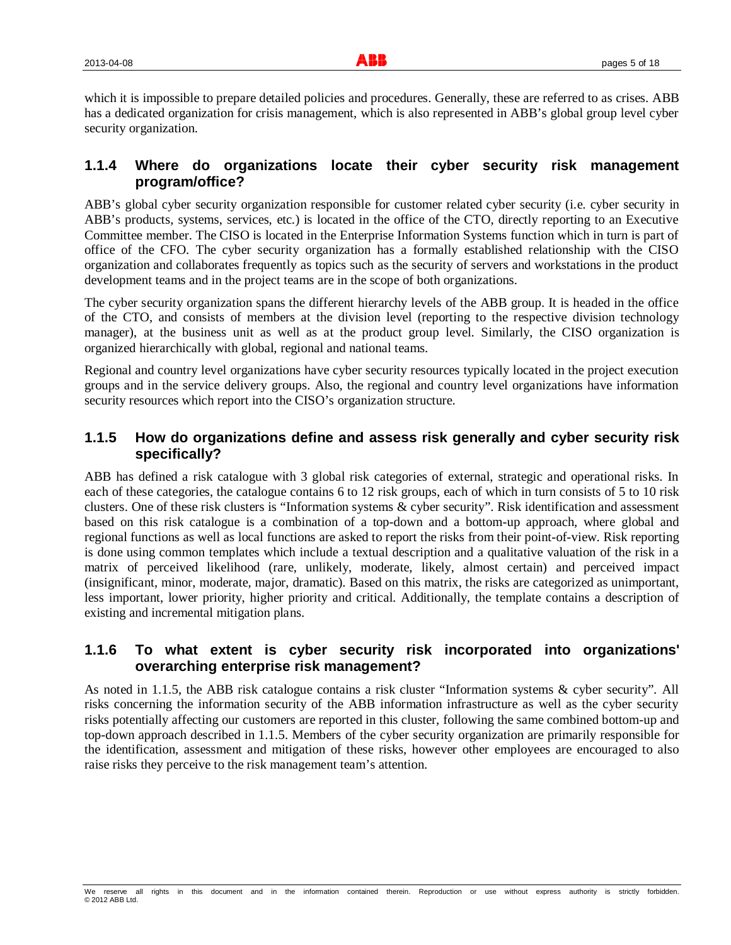which it is impossible to prepare detailed policies and procedures. Generally, these are referred to as crises. ABB has a dedicated organization for crisis management, which is also represented in ABB's global group level cyber security organization.

# **1.1.4 Where do organizations locate their cyber security risk management program/office?**

ABB's global cyber security organization responsible for customer related cyber security (i.e. cyber security in ABB's products, systems, services, etc.) is located in the office of the CTO, directly reporting to an Executive Committee member. The CISO is located in the Enterprise Information Systems function which in turn is part of office of the CFO. The cyber security organization has a formally established relationship with the CISO organization and collaborates frequently as topics such as the security of servers and workstations in the product development teams and in the project teams are in the scope of both organizations.

The cyber security organization spans the different hierarchy levels of the ABB group. It is headed in the office of the CTO, and consists of members at the division level (reporting to the respective division technology manager), at the business unit as well as at the product group level. Similarly, the CISO organization is organized hierarchically with global, regional and national teams.

Regional and country level organizations have cyber security resources typically located in the project execution groups and in the service delivery groups. Also, the regional and country level organizations have information security resources which report into the CISO's organization structure.

# **1.1.5 How do organizations define and assess risk generally and cyber security risk specifically?**

ABB has defined a risk catalogue with 3 global risk categories of external, strategic and operational risks. In each of these categories, the catalogue contains 6 to 12 risk groups, each of which in turn consists of 5 to 10 risk clusters. One of these risk clusters is "Information systems & cyber security". Risk identification and assessment based on this risk catalogue is a combination of a top-down and a bottom-up approach, where global and regional functions as well as local functions are asked to report the risks from their point-of-view. Risk reporting is done using common templates which include a textual description and a qualitative valuation of the risk in a matrix of perceived likelihood (rare, unlikely, moderate, likely, almost certain) and perceived impact (insignificant, minor, moderate, major, dramatic). Based on this matrix, the risks are categorized as unimportant, less important, lower priority, higher priority and critical. Additionally, the template contains a description of existing and incremental mitigation plans.

# **1.1.6 To what extent is cyber security risk incorporated into organizations' overarching enterprise risk management?**

As noted in 1.1.5, the ABB risk catalogue contains a risk cluster "Information systems & cyber security". All risks concerning the information security of the ABB information infrastructure as well as the cyber security risks potentially affecting our customers are reported in this cluster, following the same combined bottom-up and top-down approach described in 1.1.5. Members of the cyber security organization are primarily responsible for the identification, assessment and mitigation of these risks, however other employees are encouraged to also raise risks they perceive to the risk management team's attention.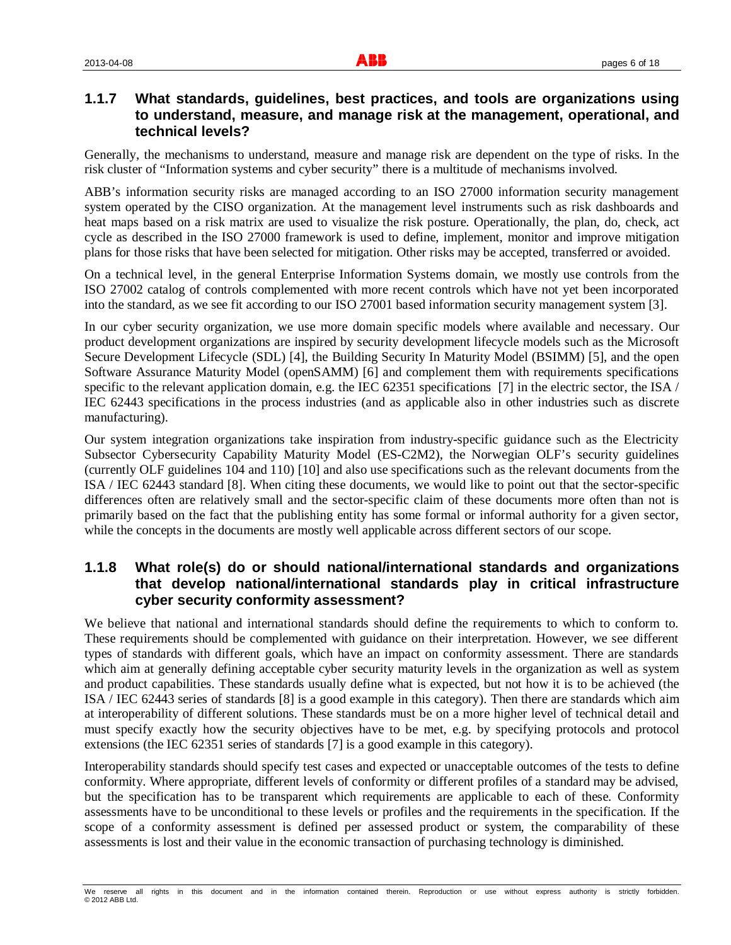#### **1.1.7 What standards, guidelines, best practices, and tools are organizations using to understand, measure, and manage risk at the management, operational, and technical levels?**

Generally, the mechanisms to understand, measure and manage risk are dependent on the type of risks. In the risk cluster of "Information systems and cyber security" there is a multitude of mechanisms involved.

ABB's information security risks are managed according to an ISO 27000 information security management system operated by the CISO organization. At the management level instruments such as risk dashboards and heat maps based on a risk matrix are used to visualize the risk posture. Operationally, the plan, do, check, act cycle as described in the ISO 27000 framework is used to define, implement, monitor and improve mitigation plans for those risks that have been selected for mitigation. Other risks may be accepted, transferred or avoided.

On a technical level, in the general Enterprise Information Systems domain, we mostly use controls from the ISO 27002 catalog of controls complemented with more recent controls which have not yet been incorporated into the standard, as we see fit according to our ISO 27001 based information security management system [3].

In our cyber security organization, we use more domain specific models where available and necessary. Our product development organizations are inspired by security development lifecycle models such as the Microsoft Secure Development Lifecycle (SDL) [4], the Building Security In Maturity Model (BSIMM) [5], and the open Software Assurance Maturity Model (openSAMM) [6] and complement them with requirements specifications specific to the relevant application domain, e.g. the IEC 62351 specifications [7] in the electric sector, the ISA / IEC 62443 specifications in the process industries (and as applicable also in other industries such as discrete manufacturing).

Our system integration organizations take inspiration from industry-specific guidance such as the Electricity Subsector Cybersecurity Capability Maturity Model (ES-C2M2), the Norwegian OLF's security guidelines (currently OLF guidelines 104 and 110) [10] and also use specifications such as the relevant documents from the ISA / IEC 62443 standard [8]. When citing these documents, we would like to point out that the sector-specific differences often are relatively small and the sector-specific claim of these documents more often than not is primarily based on the fact that the publishing entity has some formal or informal authority for a given sector, while the concepts in the documents are mostly well applicable across different sectors of our scope.

#### **1.1.8 What role(s) do or should national/international standards and organizations that develop national/international standards play in critical infrastructure cyber security conformity assessment?**

We believe that national and international standards should define the requirements to which to conform to. These requirements should be complemented with guidance on their interpretation. However, we see different types of standards with different goals, which have an impact on conformity assessment. There are standards which aim at generally defining acceptable cyber security maturity levels in the organization as well as system and product capabilities. These standards usually define what is expected, but not how it is to be achieved (the ISA / IEC 62443 series of standards [8] is a good example in this category). Then there are standards which aim at interoperability of different solutions. These standards must be on a more higher level of technical detail and must specify exactly how the security objectives have to be met, e.g. by specifying protocols and protocol extensions (the IEC 62351 series of standards [7] is a good example in this category).

Interoperability standards should specify test cases and expected or unacceptable outcomes of the tests to define conformity. Where appropriate, different levels of conformity or different profiles of a standard may be advised, but the specification has to be transparent which requirements are applicable to each of these. Conformity assessments have to be unconditional to these levels or profiles and the requirements in the specification. If the scope of a conformity assessment is defined per assessed product or system, the comparability of these assessments is lost and their value in the economic transaction of purchasing technology is diminished.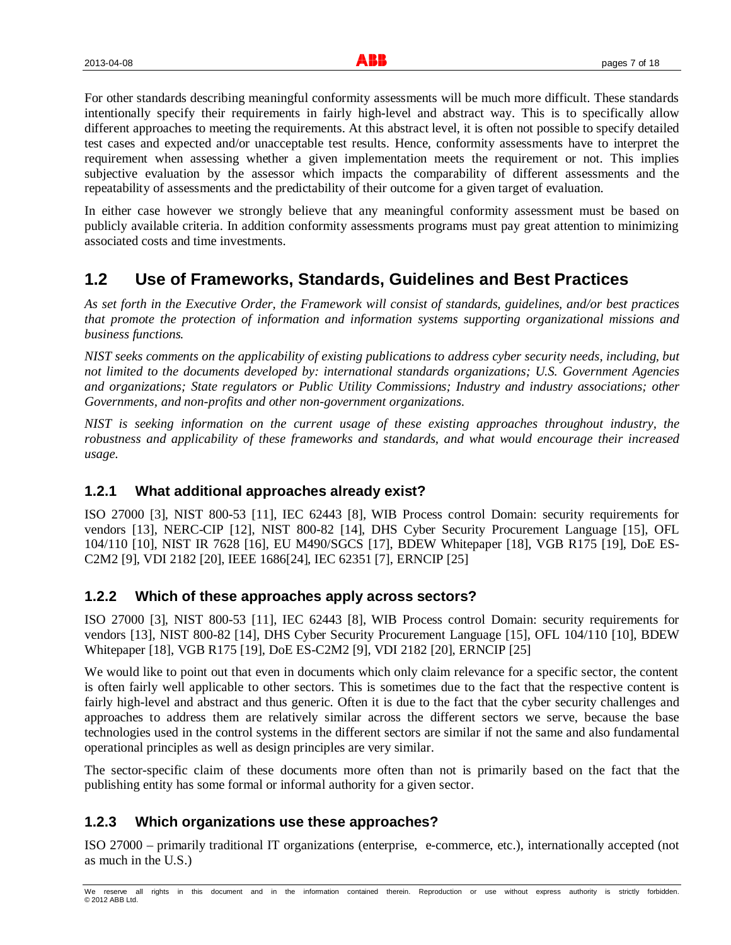For other standards describing meaningful conformity assessments will be much more difficult. These standards intentionally specify their requirements in fairly high-level and abstract way. This is to specifically allow different approaches to meeting the requirements. At this abstract level, it is often not possible to specify detailed test cases and expected and/or unacceptable test results. Hence, conformity assessments have to interpret the requirement when assessing whether a given implementation meets the requirement or not. This implies subjective evaluation by the assessor which impacts the comparability of different assessments and the repeatability of assessments and the predictability of their outcome for a given target of evaluation.

In either case however we strongly believe that any meaningful conformity assessment must be based on publicly available criteria. In addition conformity assessments programs must pay great attention to minimizing associated costs and time investments.

# **1.2 Use of Frameworks, Standards, Guidelines and Best Practices**

*As set forth in the Executive Order, the Framework will consist of standards, guidelines, and/or best practices that promote the protection of information and information systems supporting organizational missions and business functions.*

*NIST seeks comments on the applicability of existing publications to address cyber security needs, including, but not limited to the documents developed by: international standards organizations; U.S. Government Agencies and organizations; State regulators or Public Utility Commissions; Industry and industry associations; other Governments, and non-profits and other non-government organizations.*

*NIST is seeking information on the current usage of these existing approaches throughout industry, the robustness and applicability of these frameworks and standards, and what would encourage their increased usage.*

#### **1.2.1 What additional approaches already exist?**

ISO 27000 [3], NIST 800-53 [11], IEC 62443 [8], WIB Process control Domain: security requirements for vendors [13], NERC-CIP [12], NIST 800-82 [14], DHS Cyber Security Procurement Language [15], OFL 104/110 [10], NIST IR 7628 [16], EU M490/SGCS [17], BDEW Whitepaper [18], VGB R175 [19], DoE ES-C2M2 [9], VDI 2182 [20], IEEE 1686[24], IEC 62351 [7], ERNCIP [25]

# **1.2.2 Which of these approaches apply across sectors?**

ISO 27000 [3], NIST 800-53 [11], IEC 62443 [8], WIB Process control Domain: security requirements for vendors [13], NIST 800-82 [14], DHS Cyber Security Procurement Language [15], OFL 104/110 [10], BDEW Whitepaper [18], VGB R175 [19], DoE ES-C2M2 [9], VDI 2182 [20], ERNCIP [25]

We would like to point out that even in documents which only claim relevance for a specific sector, the content is often fairly well applicable to other sectors. This is sometimes due to the fact that the respective content is fairly high-level and abstract and thus generic. Often it is due to the fact that the cyber security challenges and approaches to address them are relatively similar across the different sectors we serve, because the base technologies used in the control systems in the different sectors are similar if not the same and also fundamental operational principles as well as design principles are very similar.

The sector-specific claim of these documents more often than not is primarily based on the fact that the publishing entity has some formal or informal authority for a given sector.

# **1.2.3 Which organizations use these approaches?**

ISO 27000 – primarily traditional IT organizations (enterprise, e-commerce, etc.), internationally accepted (not as much in the U.S.)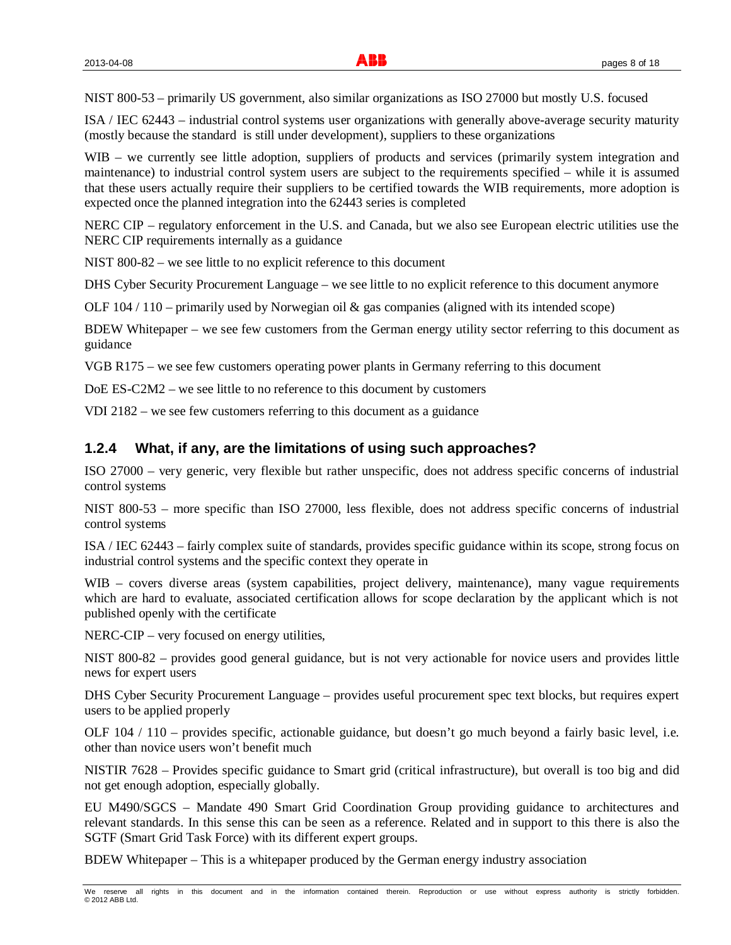NIST 800-53 – primarily US government, also similar organizations as ISO 27000 but mostly U.S. focused

ISA / IEC 62443 – industrial control systems user organizations with generally above-average security maturity (mostly because the standard is still under development), suppliers to these organizations

WIB – we currently see little adoption, suppliers of products and services (primarily system integration and maintenance) to industrial control system users are subject to the requirements specified – while it is assumed that these users actually require their suppliers to be certified towards the WIB requirements, more adoption is expected once the planned integration into the 62443 series is completed

NERC CIP – regulatory enforcement in the U.S. and Canada, but we also see European electric utilities use the NERC CIP requirements internally as a guidance

NIST 800-82 – we see little to no explicit reference to this document

DHS Cyber Security Procurement Language – we see little to no explicit reference to this document anymore

OLF  $104 / 110$  – primarily used by Norwegian oil  $\&$  gas companies (aligned with its intended scope)

BDEW Whitepaper – we see few customers from the German energy utility sector referring to this document as guidance

VGB R175 – we see few customers operating power plants in Germany referring to this document

DoE ES-C2M2 – we see little to no reference to this document by customers

VDI 2182 – we see few customers referring to this document as a guidance

#### **1.2.4 What, if any, are the limitations of using such approaches?**

ISO 27000 – very generic, very flexible but rather unspecific, does not address specific concerns of industrial control systems

NIST 800-53 – more specific than ISO 27000, less flexible, does not address specific concerns of industrial control systems

ISA / IEC 62443 – fairly complex suite of standards, provides specific guidance within its scope, strong focus on industrial control systems and the specific context they operate in

WIB – covers diverse areas (system capabilities, project delivery, maintenance), many vague requirements which are hard to evaluate, associated certification allows for scope declaration by the applicant which is not published openly with the certificate

NERC-CIP – very focused on energy utilities,

NIST 800-82 – provides good general guidance, but is not very actionable for novice users and provides little news for expert users

DHS Cyber Security Procurement Language – provides useful procurement spec text blocks, but requires expert users to be applied properly

OLF 104 / 110 – provides specific, actionable guidance, but doesn't go much beyond a fairly basic level, i.e. other than novice users won't benefit much

NISTIR 7628 – Provides specific guidance to Smart grid (critical infrastructure), but overall is too big and did not get enough adoption, especially globally.

EU M490/SGCS – Mandate 490 Smart Grid Coordination Group providing guidance to architectures and relevant standards. In this sense this can be seen as a reference. Related and in support to this there is also the SGTF (Smart Grid Task Force) with its different expert groups.

BDEW Whitepaper – This is a whitepaper produced by the German energy industry association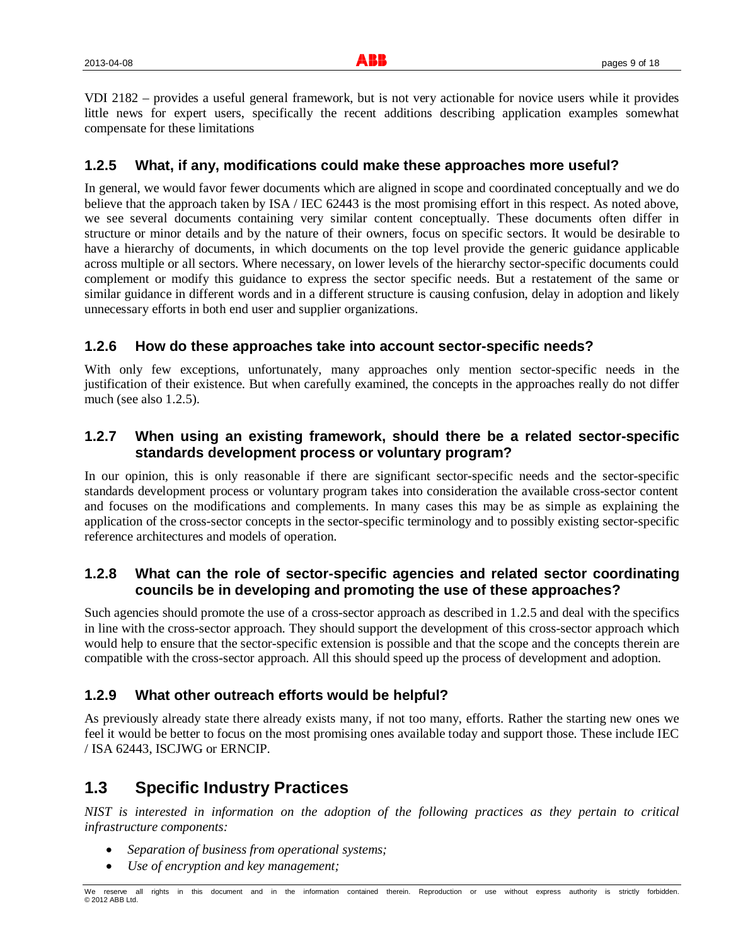VDI 2182 – provides a useful general framework, but is not very actionable for novice users while it provides little news for expert users, specifically the recent additions describing application examples somewhat compensate for these limitations

# **1.2.5 What, if any, modifications could make these approaches more useful?**

In general, we would favor fewer documents which are aligned in scope and coordinated conceptually and we do believe that the approach taken by ISA / IEC 62443 is the most promising effort in this respect. As noted above, we see several documents containing very similar content conceptually. These documents often differ in structure or minor details and by the nature of their owners, focus on specific sectors. It would be desirable to have a hierarchy of documents, in which documents on the top level provide the generic guidance applicable across multiple or all sectors. Where necessary, on lower levels of the hierarchy sector-specific documents could complement or modify this guidance to express the sector specific needs. But a restatement of the same or similar guidance in different words and in a different structure is causing confusion, delay in adoption and likely unnecessary efforts in both end user and supplier organizations.

# **1.2.6 How do these approaches take into account sector-specific needs?**

With only few exceptions, unfortunately, many approaches only mention sector-specific needs in the justification of their existence. But when carefully examined, the concepts in the approaches really do not differ much (see also 1.2.5).

# **1.2.7 When using an existing framework, should there be a related sector-specific standards development process or voluntary program?**

In our opinion, this is only reasonable if there are significant sector-specific needs and the sector-specific standards development process or voluntary program takes into consideration the available cross-sector content and focuses on the modifications and complements. In many cases this may be as simple as explaining the application of the cross-sector concepts in the sector-specific terminology and to possibly existing sector-specific reference architectures and models of operation.

# **1.2.8 What can the role of sector-specific agencies and related sector coordinating councils be in developing and promoting the use of these approaches?**

Such agencies should promote the use of a cross-sector approach as described in 1.2.5 and deal with the specifics in line with the cross-sector approach. They should support the development of this cross-sector approach which would help to ensure that the sector-specific extension is possible and that the scope and the concepts therein are compatible with the cross-sector approach. All this should speed up the process of development and adoption.

#### **1.2.9 What other outreach efforts would be helpful?**

As previously already state there already exists many, if not too many, efforts. Rather the starting new ones we feel it would be better to focus on the most promising ones available today and support those. These include IEC / ISA 62443, ISCJWG or ERNCIP.

# **1.3 Specific Industry Practices**

*NIST is interested in information on the adoption of the following practices as they pertain to critical infrastructure components:*

- x *Separation of business from operational systems;*
- x *Use of encryption and key management;*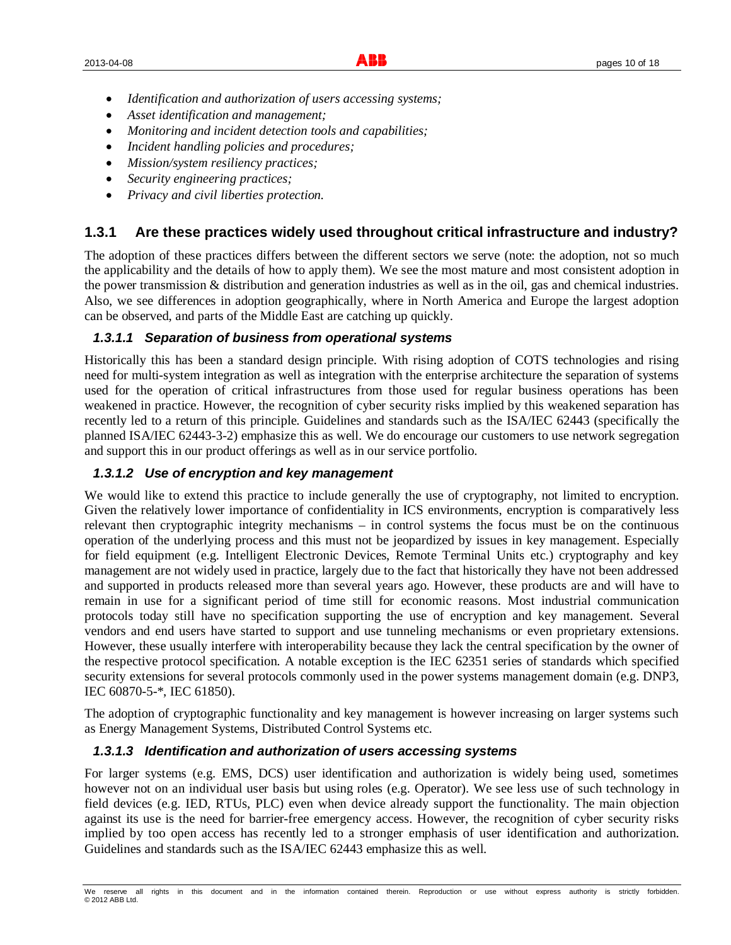- x *Identification and authorization of users accessing systems;*
- x *Asset identification and management;*
- x *Monitoring and incident detection tools and capabilities;*
- x *Incident handling policies and procedures;*
- x *Mission/system resiliency practices;*
- x *Security engineering practices;*
- x *Privacy and civil liberties protection.*

#### **1.3.1 Are these practices widely used throughout critical infrastructure and industry?**

The adoption of these practices differs between the different sectors we serve (note: the adoption, not so much the applicability and the details of how to apply them). We see the most mature and most consistent adoption in the power transmission & distribution and generation industries as well as in the oil, gas and chemical industries. Also, we see differences in adoption geographically, where in North America and Europe the largest adoption can be observed, and parts of the Middle East are catching up quickly.

#### *1.3.1.1 Separation of business from operational systems*

Historically this has been a standard design principle. With rising adoption of COTS technologies and rising need for multi-system integration as well as integration with the enterprise architecture the separation of systems used for the operation of critical infrastructures from those used for regular business operations has been weakened in practice. However, the recognition of cyber security risks implied by this weakened separation has recently led to a return of this principle. Guidelines and standards such as the ISA/IEC 62443 (specifically the planned ISA/IEC 62443-3-2) emphasize this as well. We do encourage our customers to use network segregation and support this in our product offerings as well as in our service portfolio.

#### *1.3.1.2 Use of encryption and key management*

We would like to extend this practice to include generally the use of cryptography, not limited to encryption. Given the relatively lower importance of confidentiality in ICS environments, encryption is comparatively less relevant then cryptographic integrity mechanisms – in control systems the focus must be on the continuous operation of the underlying process and this must not be jeopardized by issues in key management. Especially for field equipment (e.g. Intelligent Electronic Devices, Remote Terminal Units etc.) cryptography and key management are not widely used in practice, largely due to the fact that historically they have not been addressed and supported in products released more than several years ago. However, these products are and will have to remain in use for a significant period of time still for economic reasons. Most industrial communication protocols today still have no specification supporting the use of encryption and key management. Several vendors and end users have started to support and use tunneling mechanisms or even proprietary extensions. However, these usually interfere with interoperability because they lack the central specification by the owner of the respective protocol specification. A notable exception is the IEC 62351 series of standards which specified security extensions for several protocols commonly used in the power systems management domain (e.g. DNP3, IEC 60870-5-\*, IEC 61850).

The adoption of cryptographic functionality and key management is however increasing on larger systems such as Energy Management Systems, Distributed Control Systems etc.

#### *1.3.1.3 Identification and authorization of users accessing systems*

For larger systems (e.g. EMS, DCS) user identification and authorization is widely being used, sometimes however not on an individual user basis but using roles (e.g. Operator). We see less use of such technology in field devices (e.g. IED, RTUs, PLC) even when device already support the functionality. The main objection against its use is the need for barrier-free emergency access. However, the recognition of cyber security risks implied by too open access has recently led to a stronger emphasis of user identification and authorization. Guidelines and standards such as the ISA/IEC 62443 emphasize this as well.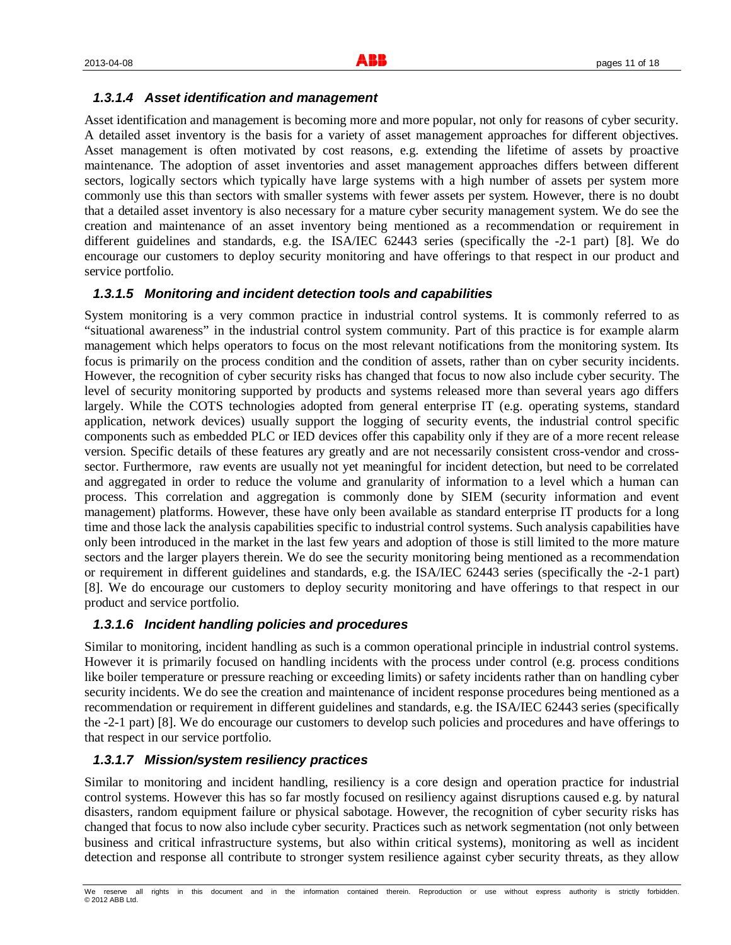#### *1.3.1.4 Asset identification and management*

Asset identification and management is becoming more and more popular, not only for reasons of cyber security. A detailed asset inventory is the basis for a variety of asset management approaches for different objectives. Asset management is often motivated by cost reasons, e.g. extending the lifetime of assets by proactive maintenance. The adoption of asset inventories and asset management approaches differs between different sectors, logically sectors which typically have large systems with a high number of assets per system more commonly use this than sectors with smaller systems with fewer assets per system. However, there is no doubt that a detailed asset inventory is also necessary for a mature cyber security management system. We do see the creation and maintenance of an asset inventory being mentioned as a recommendation or requirement in different guidelines and standards, e.g. the ISA/IEC 62443 series (specifically the -2-1 part) [8]. We do encourage our customers to deploy security monitoring and have offerings to that respect in our product and service portfolio.

#### *1.3.1.5 Monitoring and incident detection tools and capabilities*

System monitoring is a very common practice in industrial control systems. It is commonly referred to as "situational awareness" in the industrial control system community. Part of this practice is for example alarm management which helps operators to focus on the most relevant notifications from the monitoring system. Its focus is primarily on the process condition and the condition of assets, rather than on cyber security incidents. However, the recognition of cyber security risks has changed that focus to now also include cyber security. The level of security monitoring supported by products and systems released more than several years ago differs largely. While the COTS technologies adopted from general enterprise IT (e.g. operating systems, standard application, network devices) usually support the logging of security events, the industrial control specific components such as embedded PLC or IED devices offer this capability only if they are of a more recent release version. Specific details of these features ary greatly and are not necessarily consistent cross-vendor and crosssector. Furthermore, raw events are usually not yet meaningful for incident detection, but need to be correlated and aggregated in order to reduce the volume and granularity of information to a level which a human can process. This correlation and aggregation is commonly done by SIEM (security information and event management) platforms. However, these have only been available as standard enterprise IT products for a long time and those lack the analysis capabilities specific to industrial control systems. Such analysis capabilities have only been introduced in the market in the last few years and adoption of those is still limited to the more mature sectors and the larger players therein. We do see the security monitoring being mentioned as a recommendation or requirement in different guidelines and standards, e.g. the ISA/IEC 62443 series (specifically the -2-1 part) [8]. We do encourage our customers to deploy security monitoring and have offerings to that respect in our product and service portfolio.

#### *1.3.1.6 Incident handling policies and procedures*

Similar to monitoring, incident handling as such is a common operational principle in industrial control systems. However it is primarily focused on handling incidents with the process under control (e.g. process conditions like boiler temperature or pressure reaching or exceeding limits) or safety incidents rather than on handling cyber security incidents. We do see the creation and maintenance of incident response procedures being mentioned as a recommendation or requirement in different guidelines and standards, e.g. the ISA/IEC 62443 series (specifically the -2-1 part) [8]. We do encourage our customers to develop such policies and procedures and have offerings to that respect in our service portfolio.

#### *1.3.1.7 Mission/system resiliency practices*

Similar to monitoring and incident handling, resiliency is a core design and operation practice for industrial control systems. However this has so far mostly focused on resiliency against disruptions caused e.g. by natural disasters, random equipment failure or physical sabotage. However, the recognition of cyber security risks has changed that focus to now also include cyber security. Practices such as network segmentation (not only between business and critical infrastructure systems, but also within critical systems), monitoring as well as incident detection and response all contribute to stronger system resilience against cyber security threats, as they allow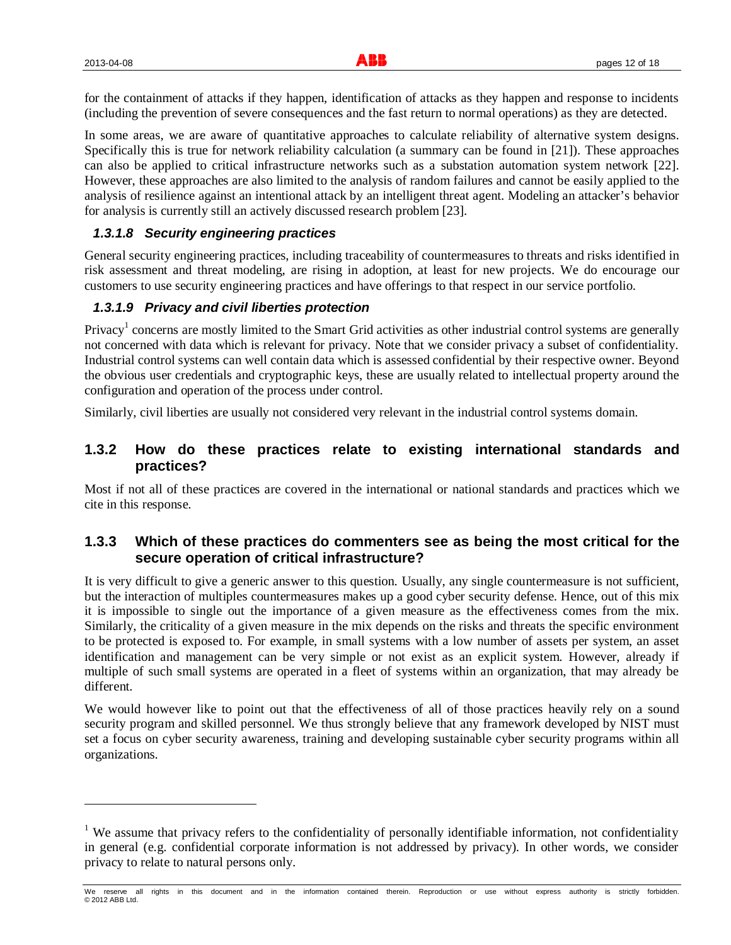for the containment of attacks if they happen, identification of attacks as they happen and response to incidents (including the prevention of severe consequences and the fast return to normal operations) as they are detected.

In some areas, we are aware of quantitative approaches to calculate reliability of alternative system designs. Specifically this is true for network reliability calculation (a summary can be found in [21]). These approaches can also be applied to critical infrastructure networks such as a substation automation system network [22]. However, these approaches are also limited to the analysis of random failures and cannot be easily applied to the analysis of resilience against an intentional attack by an intelligent threat agent. Modeling an attacker's behavior for analysis is currently still an actively discussed research problem [23].

#### *1.3.1.8 Security engineering practices*

General security engineering practices, including traceability of countermeasures to threats and risks identified in risk assessment and threat modeling, are rising in adoption, at least for new projects. We do encourage our customers to use security engineering practices and have offerings to that respect in our service portfolio.

#### *1.3.1.9 Privacy and civil liberties protection*

Privacy<sup>1</sup> concerns are mostly limited to the Smart Grid activities as other industrial control systems are generally not concerned with data which is relevant for privacy. Note that we consider privacy a subset of confidentiality. Industrial control systems can well contain data which is assessed confidential by their respective owner. Beyond the obvious user credentials and cryptographic keys, these are usually related to intellectual property around the configuration and operation of the process under control.

Similarly, civil liberties are usually not considered very relevant in the industrial control systems domain.

#### **1.3.2 How do these practices relate to existing international standards and practices?**

Most if not all of these practices are covered in the international or national standards and practices which we cite in this response.

#### **1.3.3 Which of these practices do commenters see as being the most critical for the secure operation of critical infrastructure?**

It is very difficult to give a generic answer to this question. Usually, any single countermeasure is not sufficient, but the interaction of multiples countermeasures makes up a good cyber security defense. Hence, out of this mix it is impossible to single out the importance of a given measure as the effectiveness comes from the mix. Similarly, the criticality of a given measure in the mix depends on the risks and threats the specific environment to be protected is exposed to. For example, in small systems with a low number of assets per system, an asset identification and management can be very simple or not exist as an explicit system. However, already if multiple of such small systems are operated in a fleet of systems within an organization, that may already be different.

We would however like to point out that the effectiveness of all of those practices heavily rely on a sound security program and skilled personnel. We thus strongly believe that any framework developed by NIST must set a focus on cyber security awareness, training and developing sustainable cyber security programs within all organizations.

<sup>&</sup>lt;sup>1</sup> We assume that privacy refers to the confidentiality of personally identifiable information, not confidentiality in general (e.g. confidential corporate information is not addressed by privacy). In other words, we consider privacy to relate to natural persons only.

We reserve all rights in this document and in the information contained therein. Reproduction or use without express authority is strictly forbidden. © 2012 ABB Ltd.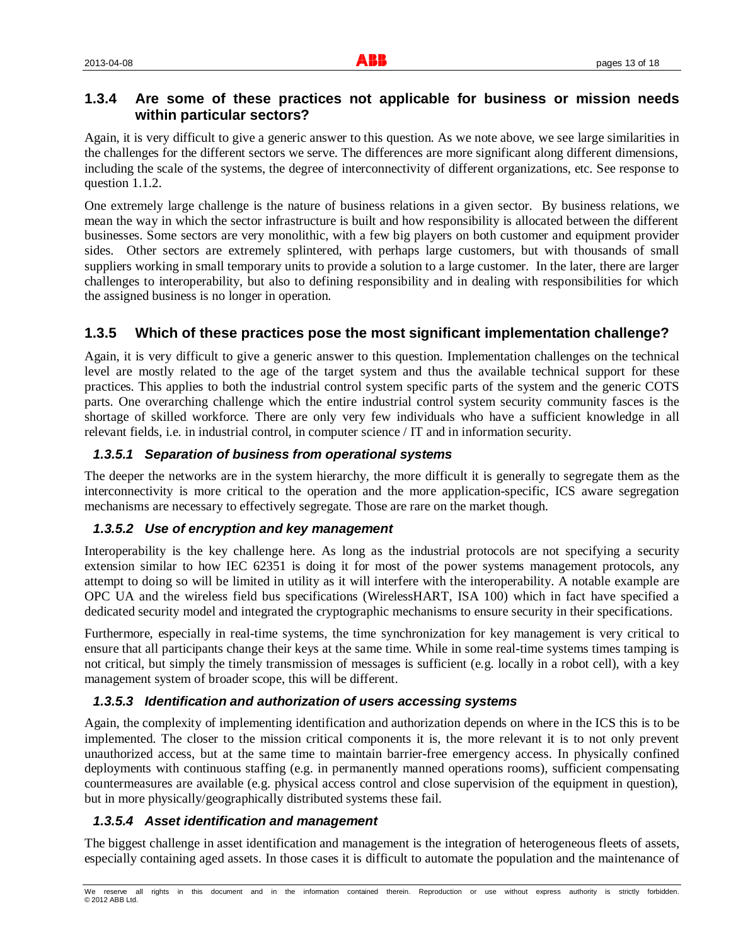# **1.3.4 Are some of these practices not applicable for business or mission needs within particular sectors?**

Again, it is very difficult to give a generic answer to this question. As we note above, we see large similarities in the challenges for the different sectors we serve. The differences are more significant along different dimensions, including the scale of the systems, the degree of interconnectivity of different organizations, etc. See response to question 1.1.2.

One extremely large challenge is the nature of business relations in a given sector. By business relations, we mean the way in which the sector infrastructure is built and how responsibility is allocated between the different businesses. Some sectors are very monolithic, with a few big players on both customer and equipment provider sides. Other sectors are extremely splintered, with perhaps large customers, but with thousands of small suppliers working in small temporary units to provide a solution to a large customer. In the later, there are larger challenges to interoperability, but also to defining responsibility and in dealing with responsibilities for which the assigned business is no longer in operation.

# **1.3.5 Which of these practices pose the most significant implementation challenge?**

Again, it is very difficult to give a generic answer to this question. Implementation challenges on the technical level are mostly related to the age of the target system and thus the available technical support for these practices. This applies to both the industrial control system specific parts of the system and the generic COTS parts. One overarching challenge which the entire industrial control system security community fasces is the shortage of skilled workforce. There are only very few individuals who have a sufficient knowledge in all relevant fields, i.e. in industrial control, in computer science / IT and in information security.

#### *1.3.5.1 Separation of business from operational systems*

The deeper the networks are in the system hierarchy, the more difficult it is generally to segregate them as the interconnectivity is more critical to the operation and the more application-specific, ICS aware segregation mechanisms are necessary to effectively segregate. Those are rare on the market though.

#### *1.3.5.2 Use of encryption and key management*

Interoperability is the key challenge here. As long as the industrial protocols are not specifying a security extension similar to how IEC 62351 is doing it for most of the power systems management protocols, any attempt to doing so will be limited in utility as it will interfere with the interoperability. A notable example are OPC UA and the wireless field bus specifications (WirelessHART, ISA 100) which in fact have specified a dedicated security model and integrated the cryptographic mechanisms to ensure security in their specifications.

Furthermore, especially in real-time systems, the time synchronization for key management is very critical to ensure that all participants change their keys at the same time. While in some real-time systems times tamping is not critical, but simply the timely transmission of messages is sufficient (e.g. locally in a robot cell), with a key management system of broader scope, this will be different.

#### *1.3.5.3 Identification and authorization of users accessing systems*

Again, the complexity of implementing identification and authorization depends on where in the ICS this is to be implemented. The closer to the mission critical components it is, the more relevant it is to not only prevent unauthorized access, but at the same time to maintain barrier-free emergency access. In physically confined deployments with continuous staffing (e.g. in permanently manned operations rooms), sufficient compensating countermeasures are available (e.g. physical access control and close supervision of the equipment in question), but in more physically/geographically distributed systems these fail.

#### *1.3.5.4 Asset identification and management*

The biggest challenge in asset identification and management is the integration of heterogeneous fleets of assets, especially containing aged assets. In those cases it is difficult to automate the population and the maintenance of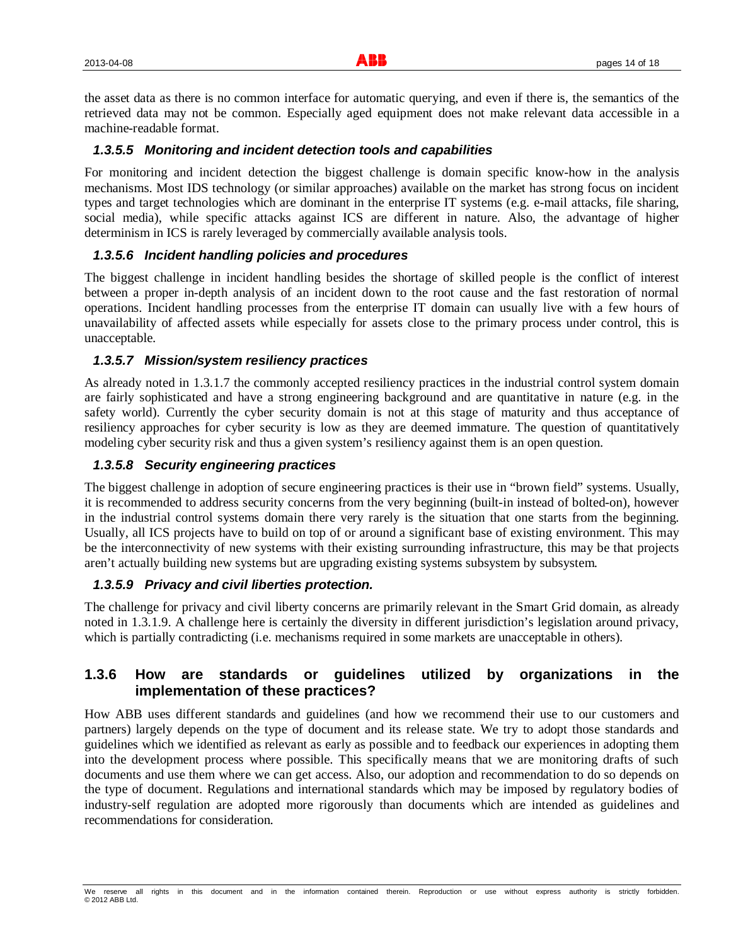the asset data as there is no common interface for automatic querying, and even if there is, the semantics of the retrieved data may not be common. Especially aged equipment does not make relevant data accessible in a machine-readable format.

#### *1.3.5.5 Monitoring and incident detection tools and capabilities*

For monitoring and incident detection the biggest challenge is domain specific know-how in the analysis mechanisms. Most IDS technology (or similar approaches) available on the market has strong focus on incident types and target technologies which are dominant in the enterprise IT systems (e.g. e-mail attacks, file sharing, social media), while specific attacks against ICS are different in nature. Also, the advantage of higher determinism in ICS is rarely leveraged by commercially available analysis tools.

#### *1.3.5.6 Incident handling policies and procedures*

The biggest challenge in incident handling besides the shortage of skilled people is the conflict of interest between a proper in-depth analysis of an incident down to the root cause and the fast restoration of normal operations. Incident handling processes from the enterprise IT domain can usually live with a few hours of unavailability of affected assets while especially for assets close to the primary process under control, this is unacceptable.

#### *1.3.5.7 Mission/system resiliency practices*

As already noted in 1.3.1.7 the commonly accepted resiliency practices in the industrial control system domain are fairly sophisticated and have a strong engineering background and are quantitative in nature (e.g. in the safety world). Currently the cyber security domain is not at this stage of maturity and thus acceptance of resiliency approaches for cyber security is low as they are deemed immature. The question of quantitatively modeling cyber security risk and thus a given system's resiliency against them is an open question.

#### *1.3.5.8 Security engineering practices*

The biggest challenge in adoption of secure engineering practices is their use in "brown field" systems. Usually, it is recommended to address security concerns from the very beginning (built-in instead of bolted-on), however in the industrial control systems domain there very rarely is the situation that one starts from the beginning. Usually, all ICS projects have to build on top of or around a significant base of existing environment. This may be the interconnectivity of new systems with their existing surrounding infrastructure, this may be that projects aren't actually building new systems but are upgrading existing systems subsystem by subsystem.

#### *1.3.5.9 Privacy and civil liberties protection.*

The challenge for privacy and civil liberty concerns are primarily relevant in the Smart Grid domain, as already noted in 1.3.1.9. A challenge here is certainly the diversity in different jurisdiction's legislation around privacy, which is partially contradicting (i.e. mechanisms required in some markets are unacceptable in others).

# **1.3.6 How are standards or guidelines utilized by organizations in the implementation of these practices?**

How ABB uses different standards and guidelines (and how we recommend their use to our customers and partners) largely depends on the type of document and its release state. We try to adopt those standards and guidelines which we identified as relevant as early as possible and to feedback our experiences in adopting them into the development process where possible. This specifically means that we are monitoring drafts of such documents and use them where we can get access. Also, our adoption and recommendation to do so depends on the type of document. Regulations and international standards which may be imposed by regulatory bodies of industry-self regulation are adopted more rigorously than documents which are intended as guidelines and recommendations for consideration.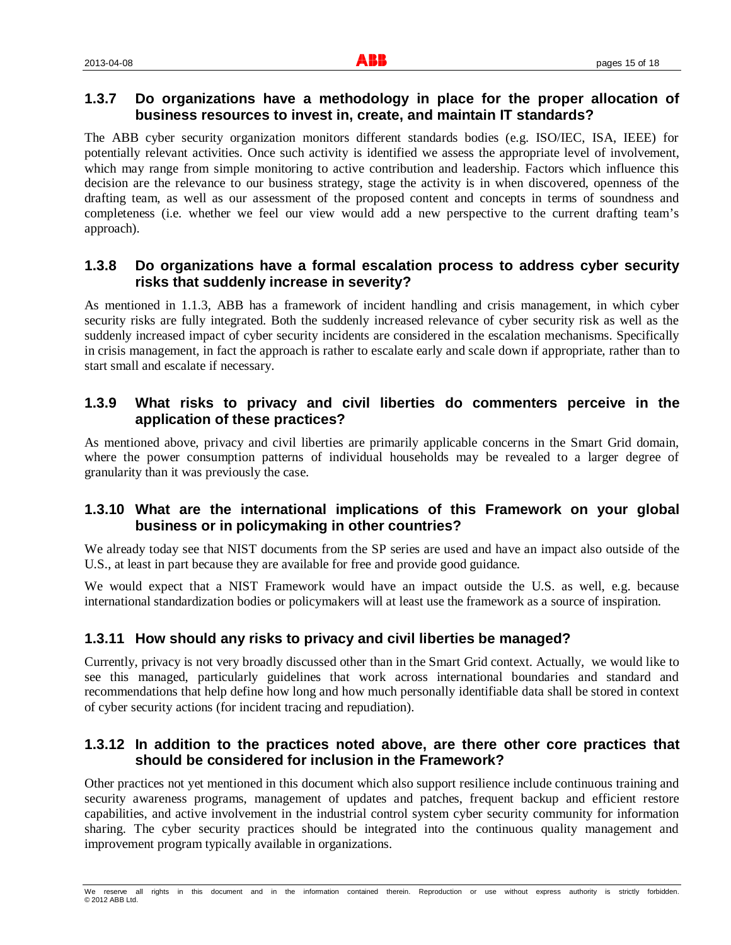# **1.3.7 Do organizations have a methodology in place for the proper allocation of business resources to invest in, create, and maintain IT standards?**

The ABB cyber security organization monitors different standards bodies (e.g. ISO/IEC, ISA, IEEE) for potentially relevant activities. Once such activity is identified we assess the appropriate level of involvement, which may range from simple monitoring to active contribution and leadership. Factors which influence this decision are the relevance to our business strategy, stage the activity is in when discovered, openness of the drafting team, as well as our assessment of the proposed content and concepts in terms of soundness and completeness (i.e. whether we feel our view would add a new perspective to the current drafting team's approach).

# **1.3.8 Do organizations have a formal escalation process to address cyber security risks that suddenly increase in severity?**

As mentioned in 1.1.3, ABB has a framework of incident handling and crisis management, in which cyber security risks are fully integrated. Both the suddenly increased relevance of cyber security risk as well as the suddenly increased impact of cyber security incidents are considered in the escalation mechanisms. Specifically in crisis management, in fact the approach is rather to escalate early and scale down if appropriate, rather than to start small and escalate if necessary.

# **1.3.9 What risks to privacy and civil liberties do commenters perceive in the application of these practices?**

As mentioned above, privacy and civil liberties are primarily applicable concerns in the Smart Grid domain, where the power consumption patterns of individual households may be revealed to a larger degree of granularity than it was previously the case.

#### **1.3.10 What are the international implications of this Framework on your global business or in policymaking in other countries?**

We already today see that NIST documents from the SP series are used and have an impact also outside of the U.S., at least in part because they are available for free and provide good guidance.

We would expect that a NIST Framework would have an impact outside the U.S. as well, e.g. because international standardization bodies or policymakers will at least use the framework as a source of inspiration.

#### **1.3.11 How should any risks to privacy and civil liberties be managed?**

Currently, privacy is not very broadly discussed other than in the Smart Grid context. Actually, we would like to see this managed, particularly guidelines that work across international boundaries and standard and recommendations that help define how long and how much personally identifiable data shall be stored in context of cyber security actions (for incident tracing and repudiation).

#### **1.3.12 In addition to the practices noted above, are there other core practices that should be considered for inclusion in the Framework?**

Other practices not yet mentioned in this document which also support resilience include continuous training and security awareness programs, management of updates and patches, frequent backup and efficient restore capabilities, and active involvement in the industrial control system cyber security community for information sharing. The cyber security practices should be integrated into the continuous quality management and improvement program typically available in organizations.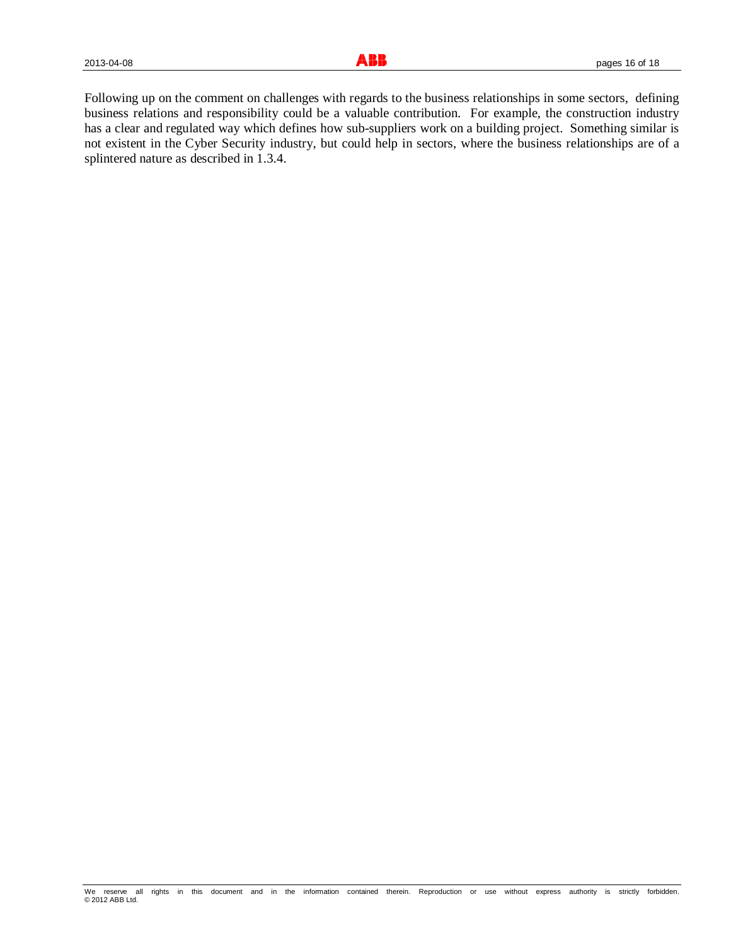Following up on the comment on challenges with regards to the business relationships in some sectors, defining business relations and responsibility could be a valuable contribution. For example, the construction industry has a clear and regulated way which defines how sub-suppliers work on a building project. Something similar is not existent in the Cyber Security industry, but could help in sectors, where the business relationships are of a splintered nature as described in 1.3.4.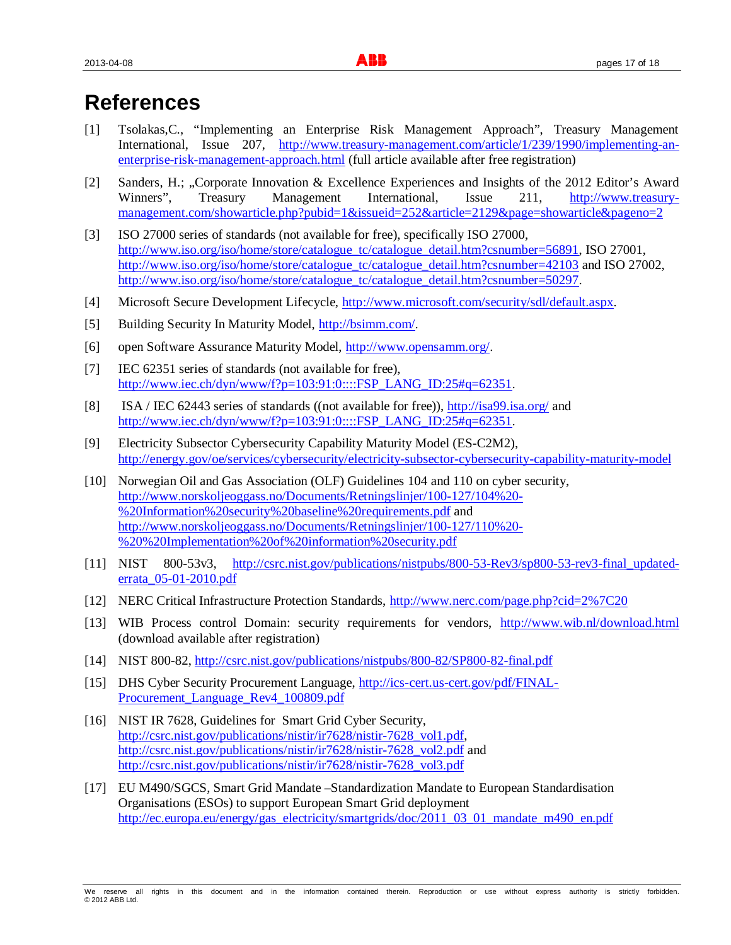# **References**

- [1] Tsolakas,C., "Implementing an Enterprise Risk Management Approach", Treasury Management International, Issue 207, http://www.treasury-management.com/article/1/239/1990/implementing-anenterprise-risk-management-approach.html (full article available after free registration)
- [2] Sanders, H.; "Corporate Innovation & Excellence Experiences and Insights of the 2012 Editor's Award Winners", Treasury Management International, Issue 211, http://www.treasurymanagement.com/showarticle.php?pubid=1&issueid=252&article=2129&page=showarticle&pageno=2
- [3] ISO 27000 series of standards (not available for free), specifically ISO 27000, http://www.iso.org/iso/home/store/catalogue\_tc/catalogue\_detail.htm?csnumber=56891, ISO 27001, http://www.iso.org/iso/home/store/catalogue\_tc/catalogue\_detail.htm?csnumber=42103 and ISO 27002, http://www.iso.org/iso/home/store/catalogue\_tc/catalogue\_detail.htm?csnumber=50297.
- [4] Microsoft Secure Development Lifecycle, http://www.microsoft.com/security/sdl/default.aspx.
- [5] Building Security In Maturity Model, http://bsimm.com/.
- [6] open Software Assurance Maturity Model, http://www.opensamm.org/.
- [7] IEC 62351 series of standards (not available for free), http://www.iec.ch/dyn/www/f?p=103:91:0::::FSP\_LANG\_ID:25#q=62351.
- [8] ISA / IEC 62443 series of standards ((not available for free)), http://isa99.isa.org/ and http://www.iec.ch/dyn/www/f?p=103:91:0::::FSP\_LANG\_ID:25#q=62351.
- [9] Electricity Subsector Cybersecurity Capability Maturity Model (ES-C2M2), http://energy.gov/oe/services/cybersecurity/electricity-subsector-cybersecurity-capability-maturity-model
- [10] Norwegian Oil and Gas Association (OLF) Guidelines 104 and 110 on cyber security, http://www.norskoljeoggass.no/Documents/Retningslinjer/100-127/104%20- %20Information%20security%20baseline%20requirements.pdf and http://www.norskoljeoggass.no/Documents/Retningslinjer/100-127/110%20- %20%20Implementation%20of%20information%20security.pdf
- [11] NIST 800-53v3, http://csrc.nist.gov/publications/nistpubs/800-53-Rev3/sp800-53-rev3-final\_updatederrata\_05-01-2010.pdf
- [12] NERC Critical Infrastructure Protection Standards, http://www.nerc.com/page.php?cid=2%7C20
- [13] WIB Process control Domain: security requirements for vendors, http://www.wib.nl/download.html (download available after registration)
- [14] NIST 800-82, http://csrc.nist.gov/publications/nistpubs/800-82/SP800-82-final.pdf
- [15] DHS Cyber Security Procurement Language, http://ics-cert.us-cert.gov/pdf/FINAL-Procurement\_Language\_Rev4\_100809.pdf
- [16] NIST IR 7628, Guidelines for Smart Grid Cyber Security, http://csrc.nist.gov/publications/nistir/ir7628/nistir-7628\_vol1.pdf, http://csrc.nist.gov/publications/nistir/ir7628/nistir-7628\_vol2.pdf and http://csrc.nist.gov/publications/nistir/ir7628/nistir-7628\_vol3.pdf
- [17] EU M490/SGCS, Smart Grid Mandate –Standardization Mandate to European Standardisation Organisations (ESOs) to support European Smart Grid deployment http://ec.europa.eu/energy/gas\_electricity/smartgrids/doc/2011\_03\_01\_mandate\_m490\_en.pdf